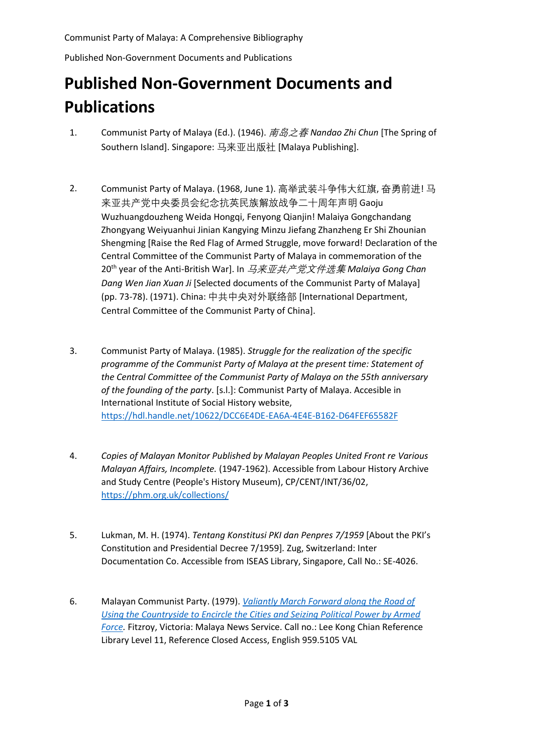Published Non-Government Documents and Publications

## **Published Non-Government Documents and Publications**

- 1. Communist Party of Malaya (Ed.). (1946). 南岛之春 *Nandao Zhi Chun* [The Spring of Southern Island]. Singapore: 马来亚出版社 [Malaya Publishing].
- 2. Communist Party of Malaya. (1968, June 1). 高举武装斗争伟大红旗, 奋勇前进! 马 来亚共产党中央委员会纪念抗英民族解放战争二十周年声明 Gaoju Wuzhuangdouzheng Weida Hongqi, Fenyong Qianjin! Malaiya Gongchandang Zhongyang Weiyuanhui Jinian Kangying Minzu Jiefang Zhanzheng Er Shi Zhounian Shengming [Raise the Red Flag of Armed Struggle, move forward! Declaration of the Central Committee of the Communist Party of Malaya in commemoration of the 20th year of the Anti-British War]. In 马来亚共产党文件选集 *Malaiya Gong Chan Dang Wen Jian Xuan Ji* [Selected documents of the Communist Party of Malaya] (pp. 73-78). (1971). China: 中共中央对外联络部 [International Department, Central Committee of the Communist Party of China].
- 3. Communist Party of Malaya. (1985). *Struggle for the realization of the specific programme of the Communist Party of Malaya at the present time: Statement of the Central Committee of the Communist Party of Malaya on the 55th anniversary of the founding of the party*. [s.l.]: Communist Party of Malaya. Accesible in International Institute of Social History website, <https://hdl.handle.net/10622/DCC6E4DE-EA6A-4E4E-B162-D64FEF65582F>
- 4. *Copies of Malayan Monitor Published by Malayan Peoples United Front re Various Malayan Affairs, Incomplete.* (1947-1962). Accessible from Labour History Archive and Study Centre (People's History Museum), CP/CENT/INT/36/02, <https://phm.org.uk/collections/>
- 5. Lukman, M. H. (1974). *Tentang Konstitusi PKI dan Penpres 7/1959* [About the PKI's Constitution and Presidential Decree 7/1959]*.* Zug, Switzerland: Inter Documentation Co. Accessible from ISEAS Library, Singapore, Call No.: SE-4026.
- 6. Malayan Communist Party. (1979). *[Valiantly March Forward along the Road of](https://eservice.nlb.gov.sg/item_holding.aspx?bid=12852017)  [Using the Countryside to Encircle the Cities and Seizing Political Power by Armed](https://eservice.nlb.gov.sg/item_holding.aspx?bid=12852017)  [Force.](https://eservice.nlb.gov.sg/item_holding.aspx?bid=12852017)* Fitzroy, Victoria: Malaya News Service. Call no.: Lee Kong Chian Reference Library Level 11, Reference Closed Access, English 959.5105 VAL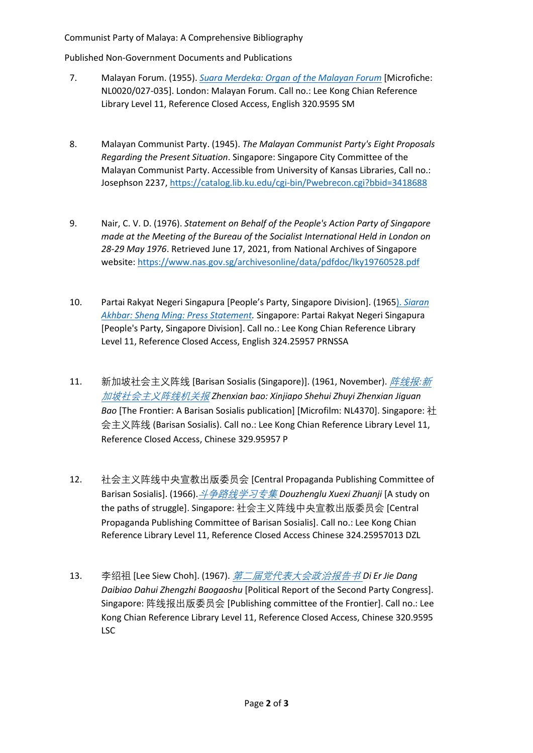## Communist Party of Malaya: A Comprehensive Bibliography

Published Non-Government Documents and Publications

- 7. Malayan Forum. (1955). *[Suara Merdeka: Organ of the Malayan Forum](https://eservice.nlb.gov.sg/item_holding.aspx?bid=5604684)* [Microfiche: NL0020/027-035]. London: Malayan Forum. Call no.: Lee Kong Chian Reference Library Level 11, Reference Closed Access, English 320.9595 SM
- 8. Malayan Communist Party. (1945). *The Malayan Communist Party's Eight Proposals Regarding the Present Situation*. Singapore: Singapore City Committee of the Malayan Communist Party. Accessible from University of Kansas Libraries, Call no.: Josephson 2237, <https://catalog.lib.ku.edu/cgi-bin/Pwebrecon.cgi?bbid=3418688>
- 9. Nair, C. V. D. (1976). *Statement on Behalf of the People's Action Party of Singapore made at the Meeting of the Bureau of the Socialist International Held in London on 28-29 May 1976*. Retrieved June 17, 2021, from National Archives of Singapore website: <https://www.nas.gov.sg/archivesonline/data/pdfdoc/lky19760528.pdf>
- 10. Partai Rakyat Negeri Singapura [People's Party, Singapore Division]. (1965). *[Siaran](https://eservice.nlb.gov.sg/item_holding.aspx?bid=13720379)  [Akhbar: Sheng Ming: Press Statement.](https://eservice.nlb.gov.sg/item_holding.aspx?bid=13720379)* Singapore: Partai Rakyat Negeri Singapura [People's Party, Singapore Division]. Call no.: Lee Kong Chian Reference Library Level 11, Reference Closed Access, English 324.25957 PRNSSA
- 11. 新加坡社会主义阵线 [Barisan Sosialis (Singapore)]. (1961, November). [阵线报](https://eservice.nlb.gov.sg/item_holding.aspx?bid=84515393)*:*新 [加坡社会主义阵线机关报](https://eservice.nlb.gov.sg/item_holding.aspx?bid=84515393) *Zhenxian bao: Xinjiapo Shehui Zhuyi Zhenxian Jiguan Bao* [The Frontier: A Barisan Sosialis publication] [Microfilm: NL4370]. Singapore: 社 会主义阵线 (Barisan Sosialis). Call no.: Lee Kong Chian Reference Library Level 11, Reference Closed Access, Chinese 329.95957 P
- 12. 社会主义阵线中央宣教出版委员会 [Central Propaganda Publishing Committee of Barisan Sosialis]. (1966).[斗争路线学习专集](https://eservice.nlb.gov.sg/item_holding.aspx?bid=84575892) *Douzhenglu Xuexi Zhuanji* [A study on the paths of struggle]. Singapore: 社会主义阵线中央宣教出版委员会 [Central Propaganda Publishing Committee of Barisan Sosialis]. Call no.: Lee Kong Chian Reference Library Level 11, Reference Closed Access Chinese 324.25957013 DZL
- 13. 李绍祖 [Lee Siew Choh]. (1967). [第二届党代表大会政治报告书](https://eservice.nlb.gov.sg/item_holding.aspx?bid=13211234) *Di Er Jie Dang Daibiao Dahui Zhengzhi Baogaoshu* [Political Report of the Second Party Congress]. Singapore: 阵线报出版委员会 [Publishing committee of the Frontier]. Call no.: Lee Kong Chian Reference Library Level 11, Reference Closed Access, Chinese 320.9595 LSC